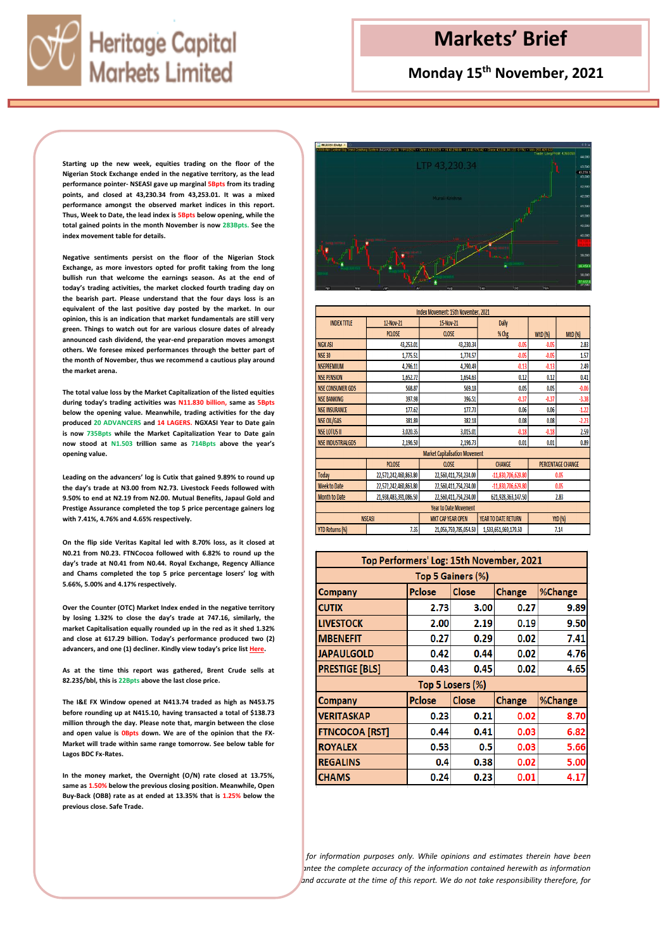

## **Monday 15th November, 2021**

**Starting up the new week, equities trading on the floor of the Nigerian Stock Exchange ended in the negative territory, as the lead performance pointer- NSEASI gave up marginal 5Bpts from its trading points, and closed at 43,230.34 from 43,253.01. It was a mixed performance amongst the observed market indices in this report. Thus, Week to Date, the lead index is 5Bpts below opening, while the total gained points in the month November is now 283Bpts. See the index movement table for details.**

**Negative sentiments persist on the floor of the Nigerian Stock Exchange, as more investors opted for profit taking from the long bullish run that welcome the earnings season. As at the end of today's trading activities, the market clocked fourth trading day on the bearish part. Please understand that the four days loss is an equivalent of the last positive day posted by the market. In our opinion, this is an indication that market fundamentals are still very green. Things to watch out for are various closure dates of already announced cash dividend, the year-end preparation moves amongst others. We foresee mixed performances through the better part of the month of November, thus we recommend a cautious play around the market arena.**

**The total value loss by the Market Capitalization of the listed equities during today's trading activities was N11.830 billion, same as 5Bpts below the opening value. Meanwhile, trading activities for the day produced 20 ADVANCERS and 14 LAGERS. NGXASI Year to Date gain is now 735Bpts while the Market Capitalization Year to Date gain now stood at N1.503 trillion same as 714Bpts above the year's opening value.** 

**Leading on the advancers' log is Cutix that gained 9.89% to round up the day's trade at N3.00 from N2.73. Livestock Feeds followed with 9.50% to end at N2.19 from N2.00. Mutual Benefits, Japaul Gold and Prestige Assurance completed the top 5 price percentage gainers log with 7.41%, 4.76% and 4.65% respectively.**

**On the flip side Veritas Kapital led with 8.70% loss, as it closed at N0.21 from N0.23. FTNCocoa followed with 6.82% to round up the day's trade at N0.41 from N0.44. Royal Exchange, Regency Alliance and Chams completed the top 5 price percentage losers' log with 5.66%, 5.00% and 4.17% respectively.**

**Over the Counter (OTC) Market Index ended in the negative territory by losing 1.32% to close the day's trade at 747.16, similarly, the market Capitalisation equally rounded up in the red as it shed 1.32% and close at 617.29 billion. Today's performance produced two (2) advancers, and one (1) decliner. Kindly view today's price list [Here.](https://nasdng.com/prices-markets/market-statistics/#pricelist)** 

**As at the time this report was gathered, Brent Crude sells at 82.23\$/bbl, this is 22Bpts above the last close price.** 

**The I&E FX Window opened at N413.74 traded as high as N453.75 before rounding up at N415.10, having transacted a total of \$138.73 million through the day. Please note that, margin between the close and open value is 0Bpts down. We are of the opinion that the FX-Market will trade within same range tomorrow. See below table for Lagos BDC Fx-Rates.**

**In the money market, the Overnight (O/N) rate closed at 13.75%, same as 1.50% below the previous closing position. Meanwhile, Open Buy-Back (OBB) rate as at ended at 13.35% that is 1.25% below the previous close. Safe Trade.**



| Index Movement: 15th November, 2021   |                       |                          |                      |                          |         |  |  |  |
|---------------------------------------|-----------------------|--------------------------|----------------------|--------------------------|---------|--|--|--|
| <b>INDEX TITLE</b>                    | 12-Nov-21             | 15-Nov-21                | <b>Daily</b>         |                          |         |  |  |  |
|                                       | PCLOSE                | <b>CLOSE</b>             | % Chg                | <b>WtD (%)</b>           | MtD (%) |  |  |  |
| <b>NGX ASI</b>                        | 43,253.01             | 43,230.34                | $-0.05$              | $-0.05$                  | 2.83    |  |  |  |
| <b>NSE 30</b>                         | 1,775.51              | 1,774.57                 | $-0.05$              | $-0.05$                  | 1.57    |  |  |  |
| <b>NSEPREMIUM</b>                     | 4,296.11              | 4,290.49                 | $-0.13$              | $-0.13$                  | 2.49    |  |  |  |
| <b>NSE PENSION</b>                    | 1,652.72              | 1,654.63                 | 0.12                 | 0.12                     | 0.41    |  |  |  |
| <b>NSE CONSUMER GDS</b>               | 568.87                | 569.18                   | 0.05                 | 0.05                     | $-0.06$ |  |  |  |
| <b>NSE BANKING</b>                    | 397.98                | 396.51                   | $-0.37$              | $-0.37$                  | $-3.38$ |  |  |  |
| <b>NSE INSURANCE</b>                  | 177.62                | 177.73                   | 0.06                 | 0.06                     | $-1.22$ |  |  |  |
| <b>NSE OIL/GAS</b>                    | 381.89                | 382.18                   | 0.08                 | 0.08                     | $-2.23$ |  |  |  |
| <b>NSE LOTUS II</b>                   | 3,020.35              | 3,015.01                 | $-0.18$              | $-0.18$                  | 2.59    |  |  |  |
| <b>NSE INDUSTRIALGDS</b>              | 2,196.50              | 2,196.73                 | 0.01                 | 0.01                     | 0.89    |  |  |  |
| <b>Market Capitalisation Movement</b> |                       |                          |                      |                          |         |  |  |  |
|                                       | <b>PCLOSE</b>         | <b>CLOSE</b>             | <b>CHANGE</b>        | <b>PERCENTAGE CHANGE</b> |         |  |  |  |
| Today                                 | 22,572,242,460,863.80 | 22,560,411,754,234.00    | $-11,830,706,629.80$ | 0.05                     |         |  |  |  |
| <b>Week to Date</b>                   | 22,572,242,460,863.80 | 22,560,411,754,234.00    | $-11,830,706,629.80$ | 0.05                     |         |  |  |  |
| <b>Month to Date</b>                  | 21,938,483,391,086.50 | 22,560,411,754,234.00    | 621,928,363,147.50   | 2.83                     |         |  |  |  |
| <b>Year to Date Movement</b>          |                       |                          |                      |                          |         |  |  |  |
|                                       | <b>NSEASI</b>         | <b>MKT CAP YEAR OPEN</b> | YEAR TO DATE RETURN  |                          | YtD (%) |  |  |  |
| <b>YTD Returns (%)</b>                | 7.35                  | 21,056,759,785,054.50    | 1,503,651,969,179.50 |                          | 7.14    |  |  |  |

| Top Performers' Log: 15th November, 2021 |                                                           |                  |      |      |  |  |  |
|------------------------------------------|-----------------------------------------------------------|------------------|------|------|--|--|--|
| Top 5 Gainers (%)                        |                                                           |                  |      |      |  |  |  |
| Company                                  | <b>Close</b><br><b>Pclose</b><br><b>Change</b><br>%Change |                  |      |      |  |  |  |
| <b>CUTIX</b>                             | 2.73                                                      | 3.00             | 0.27 | 9.89 |  |  |  |
| <b>LIVESTOCK</b>                         | 2.00                                                      | 2.19             | 0.19 | 9.50 |  |  |  |
| <b>MBENEFIT</b>                          | 0.27                                                      | 0.29             | 0.02 | 7.41 |  |  |  |
| <b>JAPAULGOLD</b>                        | 0.42                                                      | 0.44             | 0.02 | 4.76 |  |  |  |
| <b>PRESTIGE [BLS]</b>                    | 0.43                                                      | 0.45             | 0.02 | 4.65 |  |  |  |
|                                          |                                                           | Top 5 Losers (%) |      |      |  |  |  |
| <b>Company</b>                           | Close<br>%Change<br><b>Pclose</b><br><b>Change</b>        |                  |      |      |  |  |  |
| <b>VERITASKAP</b>                        | 0.23                                                      | 0.21             | 0.02 | 8.70 |  |  |  |
| <b>FTNCOCOA [RST]</b>                    | 0.44                                                      | 0.41             | 0.03 | 6.82 |  |  |  |
| <b>ROYALEX</b>                           | 0.53                                                      | 0.5              | 0.03 | 5.66 |  |  |  |
| <b>REGALINS</b>                          | 0.4                                                       | 0.38             | 0.02 | 5.00 |  |  |  |
| <b>CHAMS</b>                             | 0.24                                                      | 0.23             | 0.01 | 4.17 |  |  |  |

*for information purposes only. While opinions and estimates therein have been carefully prepared, the company and its employees do not guarantee the complete accuracy of the information contained herewith as information was also gathered from various sources believed to be reliable and accurate at the time of this report. We do not take responsibility therefore, for*